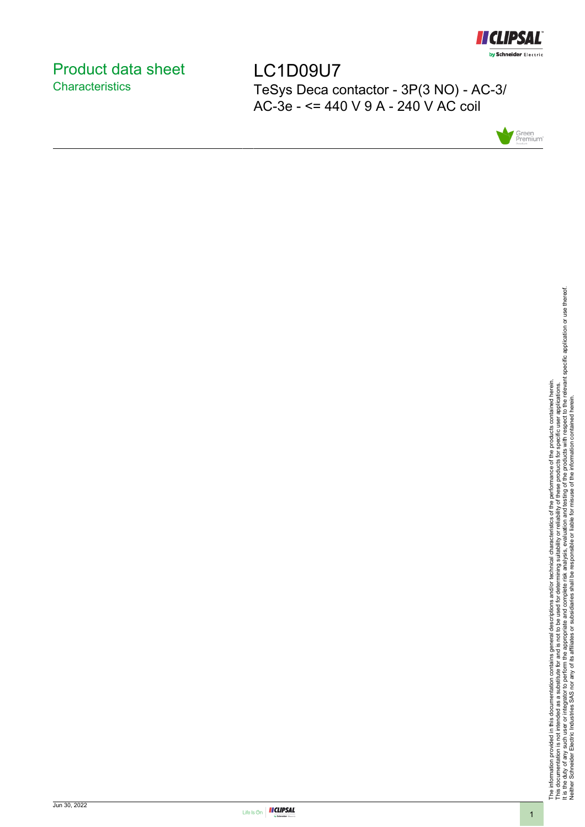

# <span id="page-0-0"></span>Product data sheet **Characteristics**

LC1D09U7 TeSys Deca contactor - 3P(3 NO) - AC-3/ AC-3e - <= 440 V 9 A - 240 V AC coil



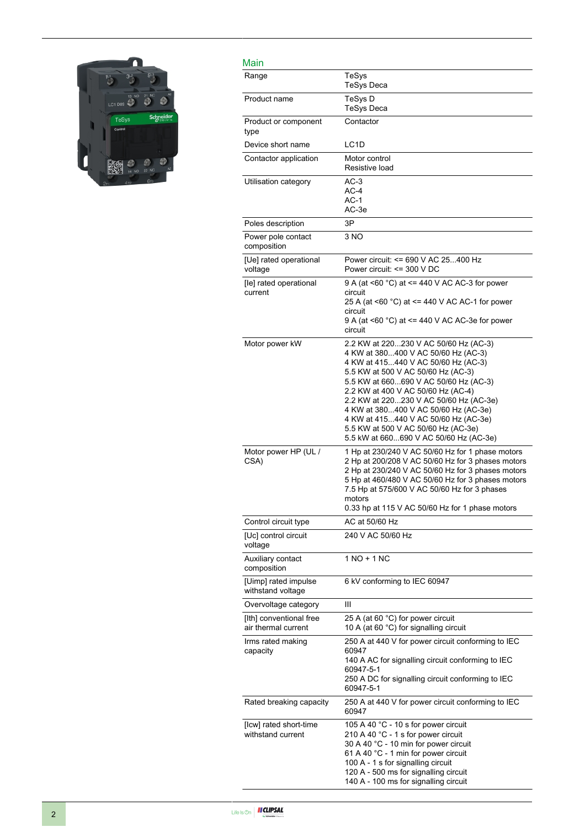

| Main                                           |                                                                                                                                                                                                                                                                                                                                                                                                                                                     |
|------------------------------------------------|-----------------------------------------------------------------------------------------------------------------------------------------------------------------------------------------------------------------------------------------------------------------------------------------------------------------------------------------------------------------------------------------------------------------------------------------------------|
| Range                                          | TeSys<br><b>TeSys Deca</b>                                                                                                                                                                                                                                                                                                                                                                                                                          |
| Product name                                   | TeSys D<br><b>TeSys Deca</b>                                                                                                                                                                                                                                                                                                                                                                                                                        |
| Product or component<br>type                   | Contactor                                                                                                                                                                                                                                                                                                                                                                                                                                           |
| Device short name                              | LC <sub>1</sub> D                                                                                                                                                                                                                                                                                                                                                                                                                                   |
| Contactor application                          | Motor control<br>Resistive load                                                                                                                                                                                                                                                                                                                                                                                                                     |
| Utilisation category                           | $AC-3$<br>$AC-4$<br>AC-1<br>AC-3e                                                                                                                                                                                                                                                                                                                                                                                                                   |
| Poles description                              | 3P                                                                                                                                                                                                                                                                                                                                                                                                                                                  |
| Power pole contact<br>composition              | 3 NO                                                                                                                                                                                                                                                                                                                                                                                                                                                |
| [Ue] rated operational<br>voltage              | Power circuit: <= 690 V AC 25400 Hz<br>Power circuit: <= 300 V DC                                                                                                                                                                                                                                                                                                                                                                                   |
| [le] rated operational<br>current              | 9 A (at <60 °C) at <= 440 V AC AC-3 for power<br>circuit<br>25 A (at <60 °C) at <= 440 V AC AC-1 for power<br>circuit<br>9 A (at <60 °C) at <= 440 V AC AC-3e for power<br>circuit                                                                                                                                                                                                                                                                  |
| Motor power kW                                 | 2.2 KW at 220230 V AC 50/60 Hz (AC-3)<br>4 KW at 380400 V AC 50/60 Hz (AC-3)<br>4 KW at 415440 V AC 50/60 Hz (AC-3)<br>5.5 KW at 500 V AC 50/60 Hz (AC-3)<br>5.5 KW at 660690 V AC 50/60 Hz (AC-3)<br>2.2 KW at 400 V AC 50/60 Hz (AC-4)<br>2.2 KW at 220230 V AC 50/60 Hz (AC-3e)<br>4 KW at 380400 V AC 50/60 Hz (AC-3e)<br>4 KW at 415440 V AC 50/60 Hz (AC-3e)<br>5.5 KW at 500 V AC 50/60 Hz (AC-3e)<br>5.5 kW at 660690 V AC 50/60 Hz (AC-3e) |
| Motor power HP (UL /<br>CSA)                   | 1 Hp at 230/240 V AC 50/60 Hz for 1 phase motors<br>2 Hp at 200/208 V AC 50/60 Hz for 3 phases motors<br>2 Hp at 230/240 V AC 50/60 Hz for 3 phases motors<br>5 Hp at 460/480 V AC 50/60 Hz for 3 phases motors<br>7.5 Hp at 575/600 V AC 50/60 Hz for 3 phases<br>motors<br>0.33 hp at 115 V AC 50/60 Hz for 1 phase motors                                                                                                                        |
| Control circuit type                           | AC at 50/60 Hz                                                                                                                                                                                                                                                                                                                                                                                                                                      |
| [Uc] control circuit<br>voltage                | 240 V AC 50/60 Hz                                                                                                                                                                                                                                                                                                                                                                                                                                   |
| Auxiliary contact<br>composition               | 1 NO + 1 NC                                                                                                                                                                                                                                                                                                                                                                                                                                         |
| [Uimp] rated impulse<br>withstand voltage      | 6 kV conforming to IEC 60947                                                                                                                                                                                                                                                                                                                                                                                                                        |
| Overvoltage category                           | Ш                                                                                                                                                                                                                                                                                                                                                                                                                                                   |
| [Ith] conventional free<br>air thermal current | 25 A (at 60 °C) for power circuit<br>10 A (at 60 °C) for signalling circuit                                                                                                                                                                                                                                                                                                                                                                         |
| Irms rated making<br>capacity                  | 250 A at 440 V for power circuit conforming to IEC<br>60947<br>140 A AC for signalling circuit conforming to IEC<br>60947-5-1<br>250 A DC for signalling circuit conforming to IEC<br>60947-5-1                                                                                                                                                                                                                                                     |
| Rated breaking capacity                        | 250 A at 440 V for power circuit conforming to IEC<br>60947                                                                                                                                                                                                                                                                                                                                                                                         |
| [Icw] rated short-time<br>withstand current    | 105 A 40 °C - 10 s for power circuit<br>210 A 40 °C - 1 s for power circuit<br>30 A 40 °C - 10 min for power circuit<br>61 A 40 °C - 1 min for power circuit<br>100 A - 1 s for signalling circuit<br>120 A - 500 ms for signalling circuit<br>140 A - 100 ms for signalling circuit                                                                                                                                                                |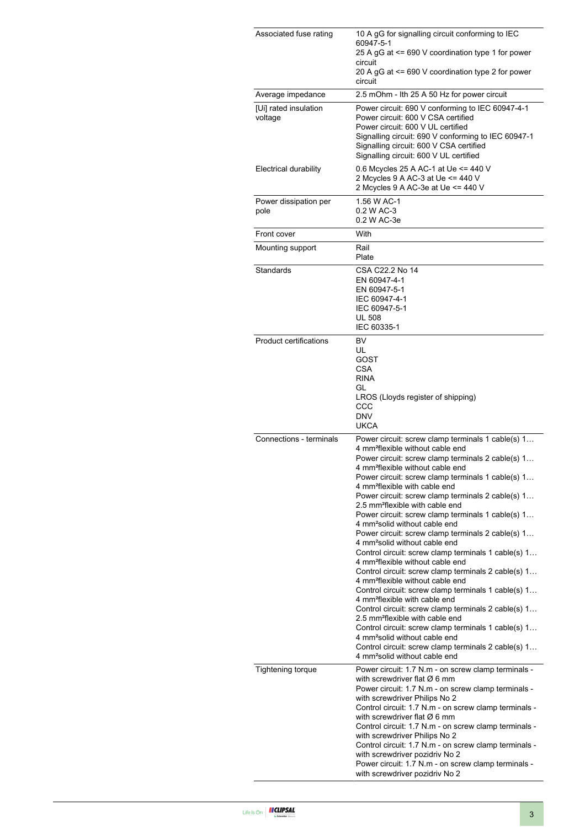| Associated fuse rating           | 10 A gG for signalling circuit conforming to IEC<br>60947-5-1<br>25 A gG at <= 690 V coordination type 1 for power<br>circuit<br>20 A gG at <= 690 V coordination type 2 for power<br>circuit                                                                                                                                                                                                                                                                                                                                                                                                                                                                                                                                                                                                                                                                                                                                                                                                                                                                                                                                                                                                                                                    |
|----------------------------------|--------------------------------------------------------------------------------------------------------------------------------------------------------------------------------------------------------------------------------------------------------------------------------------------------------------------------------------------------------------------------------------------------------------------------------------------------------------------------------------------------------------------------------------------------------------------------------------------------------------------------------------------------------------------------------------------------------------------------------------------------------------------------------------------------------------------------------------------------------------------------------------------------------------------------------------------------------------------------------------------------------------------------------------------------------------------------------------------------------------------------------------------------------------------------------------------------------------------------------------------------|
| Average impedance                | 2.5 mOhm - Ith 25 A 50 Hz for power circuit                                                                                                                                                                                                                                                                                                                                                                                                                                                                                                                                                                                                                                                                                                                                                                                                                                                                                                                                                                                                                                                                                                                                                                                                      |
| [Ui] rated insulation<br>voltage | Power circuit: 690 V conforming to IEC 60947-4-1<br>Power circuit: 600 V CSA certified<br>Power circuit: 600 V UL certified<br>Signalling circuit: 690 V conforming to IEC 60947-1<br>Signalling circuit: 600 V CSA certified<br>Signalling circuit: 600 V UL certified                                                                                                                                                                                                                                                                                                                                                                                                                                                                                                                                                                                                                                                                                                                                                                                                                                                                                                                                                                          |
| Electrical durability            | 0.6 Mcycles 25 A AC-1 at Ue <= 440 V<br>2 Mcycles 9 A AC-3 at Ue <= 440 V<br>2 Mcycles 9 A AC-3e at Ue <= 440 V                                                                                                                                                                                                                                                                                                                                                                                                                                                                                                                                                                                                                                                                                                                                                                                                                                                                                                                                                                                                                                                                                                                                  |
| Power dissipation per<br>pole    | 1.56 W AC-1<br>0.2 W AC-3<br>0.2 W AC-3e                                                                                                                                                                                                                                                                                                                                                                                                                                                                                                                                                                                                                                                                                                                                                                                                                                                                                                                                                                                                                                                                                                                                                                                                         |
| Front cover                      | With                                                                                                                                                                                                                                                                                                                                                                                                                                                                                                                                                                                                                                                                                                                                                                                                                                                                                                                                                                                                                                                                                                                                                                                                                                             |
| Mounting support                 | Rail<br>Plate                                                                                                                                                                                                                                                                                                                                                                                                                                                                                                                                                                                                                                                                                                                                                                                                                                                                                                                                                                                                                                                                                                                                                                                                                                    |
| Standards                        | CSA C22.2 No 14<br>EN 60947-4-1<br>EN 60947-5-1<br>IEC 60947-4-1<br>IEC 60947-5-1<br><b>UL 508</b><br>IEC 60335-1                                                                                                                                                                                                                                                                                                                                                                                                                                                                                                                                                                                                                                                                                                                                                                                                                                                                                                                                                                                                                                                                                                                                |
| <b>Product certifications</b>    | BV<br>UL<br>GOST<br><b>CSA</b><br><b>RINA</b><br>GL<br>LROS (Lloyds register of shipping)<br>CCC<br><b>DNV</b><br><b>UKCA</b>                                                                                                                                                                                                                                                                                                                                                                                                                                                                                                                                                                                                                                                                                                                                                                                                                                                                                                                                                                                                                                                                                                                    |
| Connections - terminals          | Power circuit: screw clamp terminals 1 cable(s) 1<br>4 mm <sup>2</sup> flexible without cable end<br>Power circuit: screw clamp terminals 2 cable(s) 1<br>4 mm <sup>2</sup> flexible without cable end<br>Power circuit: screw clamp terminals 1 cable(s) 1<br>4 mm <sup>2</sup> flexible with cable end<br>Power circuit: screw clamp terminals 2 cable(s) 1<br>2.5 mm <sup>2</sup> flexible with cable end<br>Power circuit: screw clamp terminals 1 cable(s) 1<br>4 mm <sup>2</sup> solid without cable end<br>Power circuit: screw clamp terminals 2 cable(s) 1<br>4 mm <sup>2</sup> solid without cable end<br>Control circuit: screw clamp terminals 1 cable(s) 1<br>4 mm <sup>2</sup> flexible without cable end<br>Control circuit: screw clamp terminals 2 cable(s) 1<br>4 mm <sup>2</sup> flexible without cable end<br>Control circuit: screw clamp terminals 1 cable(s) 1<br>4 mm <sup>2</sup> flexible with cable end<br>Control circuit: screw clamp terminals 2 cable(s) 1<br>2.5 mm <sup>2</sup> flexible with cable end<br>Control circuit: screw clamp terminals 1 cable(s) 1<br>4 mm <sup>2</sup> solid without cable end<br>Control circuit: screw clamp terminals 2 cable(s) 1<br>4 mm <sup>2</sup> solid without cable end |
| Tightening torque                | Power circuit: 1.7 N.m - on screw clamp terminals -<br>with screwdriver flat $\varnothing$ 6 mm<br>Power circuit: 1.7 N.m - on screw clamp terminals -<br>with screwdriver Philips No 2<br>Control circuit: 1.7 N.m - on screw clamp terminals -<br>with screwdriver flat $\varnothing$ 6 mm<br>Control circuit: 1.7 N.m - on screw clamp terminals -<br>with screwdriver Philips No 2<br>Control circuit: 1.7 N.m - on screw clamp terminals -<br>with screwdriver pozidriv No 2<br>Power circuit: 1.7 N.m - on screw clamp terminals -<br>with screwdriver pozidriv No 2                                                                                                                                                                                                                                                                                                                                                                                                                                                                                                                                                                                                                                                                       |

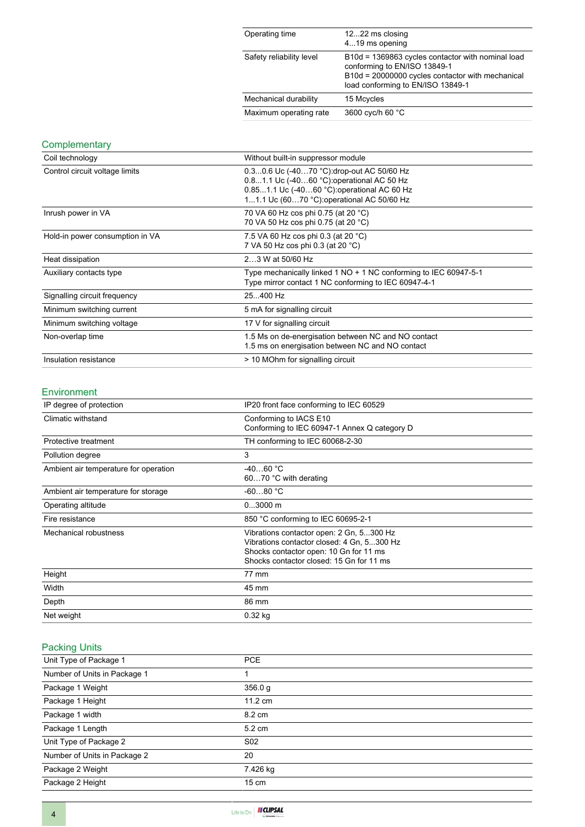| Operating time           | 1222 ms closing<br>419 ms opening                                                                                                                                          |
|--------------------------|----------------------------------------------------------------------------------------------------------------------------------------------------------------------------|
| Safety reliability level | B10d = 1369863 cycles contactor with nominal load<br>conforming to EN/ISO 13849-1<br>B10d = 20000000 cycles contactor with mechanical<br>load conforming to EN/ISO 13849-1 |
| Mechanical durability    | 15 Mcycles                                                                                                                                                                 |
| Maximum operating rate   | 3600 cyc/h 60 °C                                                                                                                                                           |

### **Complementary**

| Coil technology                 | Without built-in suppressor module                                                                                                                                                   |
|---------------------------------|--------------------------------------------------------------------------------------------------------------------------------------------------------------------------------------|
| Control circuit voltage limits  | 0.30.6 Uc (-4070 °C): drop-out AC 50/60 Hz<br>0.81.1 Uc (-4060 °C) operational AC 50 Hz<br>0.851.1 Uc (-4060 °C): operational AC 60 Hz<br>11.1 Uc (6070 °C): operational AC 50/60 Hz |
| Inrush power in VA              | 70 VA 60 Hz cos phi 0.75 (at 20 °C)<br>70 VA 50 Hz cos phi 0.75 (at 20 °C)                                                                                                           |
| Hold-in power consumption in VA | 7.5 VA 60 Hz cos phi 0.3 (at 20 °C)<br>7 VA 50 Hz cos phi 0.3 (at 20 °C)                                                                                                             |
| Heat dissipation                | 23 W at 50/60 Hz                                                                                                                                                                     |
| Auxiliary contacts type         | Type mechanically linked 1 NO + 1 NC conforming to IEC 60947-5-1<br>Type mirror contact 1 NC conforming to IEC 60947-4-1                                                             |
| Signalling circuit frequency    | 25400 Hz                                                                                                                                                                             |
| Minimum switching current       | 5 mA for signalling circuit                                                                                                                                                          |
| Minimum switching voltage       | 17 V for signalling circuit                                                                                                                                                          |
| Non-overlap time                | 1.5 Ms on de-energisation between NC and NO contact<br>1.5 ms on energisation between NC and NO contact                                                                              |
| Insulation resistance           | > 10 MOhm for signalling circuit                                                                                                                                                     |

#### Environment

| IP degree of protection               | IP20 front face conforming to IEC 60529                                                                                                                                      |
|---------------------------------------|------------------------------------------------------------------------------------------------------------------------------------------------------------------------------|
| Climatic withstand                    | Conforming to IACS E10<br>Conforming to IEC 60947-1 Annex Q category D                                                                                                       |
| Protective treatment                  | TH conforming to IEC 60068-2-30                                                                                                                                              |
| Pollution degree                      | 3                                                                                                                                                                            |
| Ambient air temperature for operation | $-4060 °C$<br>6070 °C with derating                                                                                                                                          |
| Ambient air temperature for storage   | $-6080 °C$                                                                                                                                                                   |
| Operating altitude                    | $03000$ m                                                                                                                                                                    |
| Fire resistance                       | 850 °C conforming to IEC 60695-2-1                                                                                                                                           |
| Mechanical robustness                 | Vibrations contactor open: 2 Gn, 5300 Hz<br>Vibrations contactor closed: 4 Gn, 5300 Hz<br>Shocks contactor open: 10 Gn for 11 ms<br>Shocks contactor closed: 15 Gn for 11 ms |
| Height                                | 77 mm                                                                                                                                                                        |
| Width                                 | 45 mm                                                                                                                                                                        |
| Depth                                 | 86 mm                                                                                                                                                                        |
| Net weight                            | $0.32$ kg                                                                                                                                                                    |

## Packing Units

| Unit Type of Package 1       | <b>PCE</b>        |
|------------------------------|-------------------|
| Number of Units in Package 1 |                   |
| Package 1 Weight             | 356.0 g           |
| Package 1 Height             | $11.2 \text{ cm}$ |
| Package 1 width              | 8.2 cm            |
| Package 1 Length             | $5.2 \text{ cm}$  |
| Unit Type of Package 2       | S <sub>02</sub>   |
| Number of Units in Package 2 | 20                |
| Package 2 Weight             | 7.426 kg          |
| Package 2 Height             | $15 \text{ cm}$   |